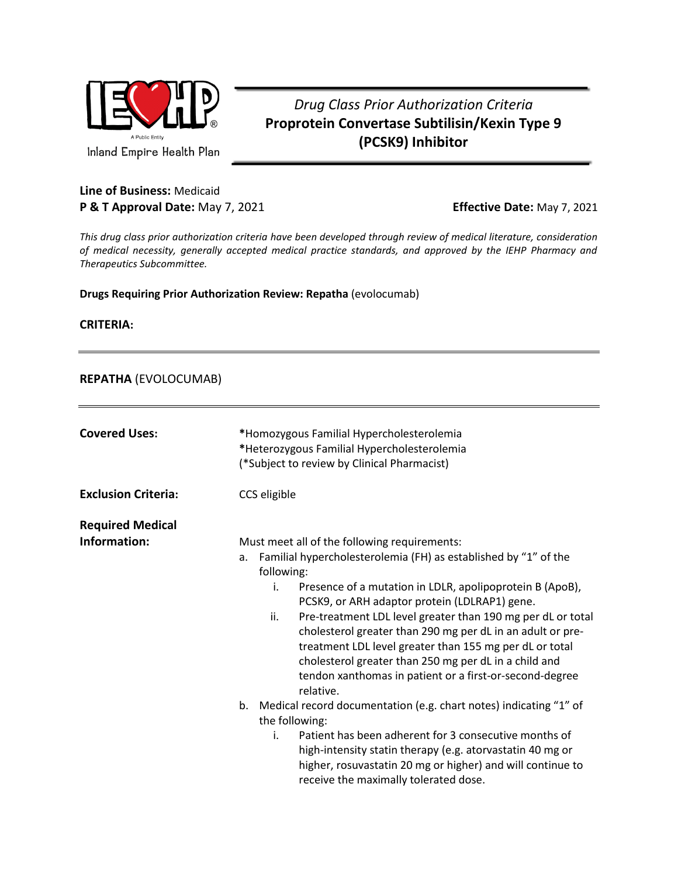

## *Drug Class Prior Authorization Criteria* **Proprotein Convertase Subtilisin/Kexin Type 9 (PCSK9) Inhibitor**

## **Line of Business:** Medicaid **P & T Approval Date:** May 7, 2021 **Effective Date:** May 7, 2021

*This drug class prior authorization criteria have been developed through review of medical literature, consideration of medical necessity, generally accepted medical practice standards, and approved by the IEHP Pharmacy and Therapeutics Subcommittee.*

**Drugs Requiring Prior Authorization Review: Repatha** (evolocumab)

**CRITERIA:**

## **REPATHA** (EVOLOCUMAB)

| <b>Covered Uses:</b>                    | *Homozygous Familial Hypercholesterolemia<br>*Heterozygous Familial Hypercholesterolemia<br>(*Subject to review by Clinical Pharmacist)                                                                                                                                                                                                                                                                                                                                                                                                                                                                                                                                                                                                                                                                                                                                                                                |
|-----------------------------------------|------------------------------------------------------------------------------------------------------------------------------------------------------------------------------------------------------------------------------------------------------------------------------------------------------------------------------------------------------------------------------------------------------------------------------------------------------------------------------------------------------------------------------------------------------------------------------------------------------------------------------------------------------------------------------------------------------------------------------------------------------------------------------------------------------------------------------------------------------------------------------------------------------------------------|
| <b>Exclusion Criteria:</b>              | CCS eligible                                                                                                                                                                                                                                                                                                                                                                                                                                                                                                                                                                                                                                                                                                                                                                                                                                                                                                           |
| <b>Required Medical</b><br>Information: | Must meet all of the following requirements:<br>Familial hypercholesterolemia (FH) as established by "1" of the<br>a.<br>following:<br>i.<br>Presence of a mutation in LDLR, apolipoprotein B (ApoB),<br>PCSK9, or ARH adaptor protein (LDLRAP1) gene.<br>Pre-treatment LDL level greater than 190 mg per dL or total<br>ii.<br>cholesterol greater than 290 mg per dL in an adult or pre-<br>treatment LDL level greater than 155 mg per dL or total<br>cholesterol greater than 250 mg per dL in a child and<br>tendon xanthomas in patient or a first-or-second-degree<br>relative.<br>Medical record documentation (e.g. chart notes) indicating "1" of<br>b.<br>the following:<br>Patient has been adherent for 3 consecutive months of<br>i.<br>high-intensity statin therapy (e.g. atorvastatin 40 mg or<br>higher, rosuvastatin 20 mg or higher) and will continue to<br>receive the maximally tolerated dose. |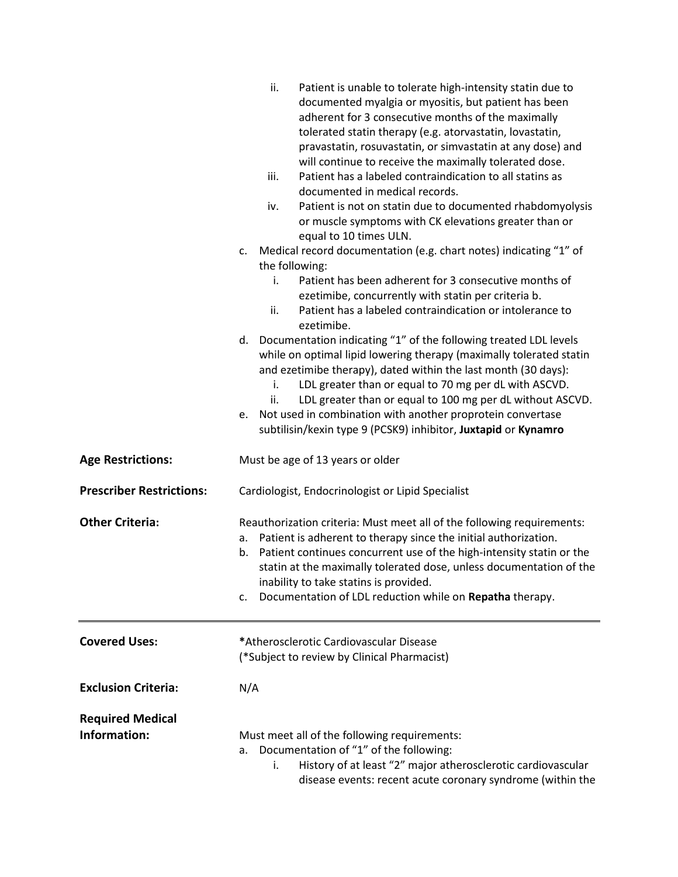|                                         | ii.<br>Patient is unable to tolerate high-intensity statin due to<br>documented myalgia or myositis, but patient has been<br>adherent for 3 consecutive months of the maximally<br>tolerated statin therapy (e.g. atorvastatin, lovastatin,<br>pravastatin, rosuvastatin, or simvastatin at any dose) and<br>will continue to receive the maximally tolerated dose.<br>Patient has a labeled contraindication to all statins as<br>iii.<br>documented in medical records.<br>Patient is not on statin due to documented rhabdomyolysis<br>iv.<br>or muscle symptoms with CK elevations greater than or<br>equal to 10 times ULN. |
|-----------------------------------------|----------------------------------------------------------------------------------------------------------------------------------------------------------------------------------------------------------------------------------------------------------------------------------------------------------------------------------------------------------------------------------------------------------------------------------------------------------------------------------------------------------------------------------------------------------------------------------------------------------------------------------|
|                                         | Medical record documentation (e.g. chart notes) indicating "1" of<br>c.<br>the following:                                                                                                                                                                                                                                                                                                                                                                                                                                                                                                                                        |
|                                         | Patient has been adherent for 3 consecutive months of<br>i.                                                                                                                                                                                                                                                                                                                                                                                                                                                                                                                                                                      |
|                                         | ezetimibe, concurrently with statin per criteria b.<br>Patient has a labeled contraindication or intolerance to<br>ii.<br>ezetimibe.                                                                                                                                                                                                                                                                                                                                                                                                                                                                                             |
|                                         | Documentation indicating "1" of the following treated LDL levels<br>d.<br>while on optimal lipid lowering therapy (maximally tolerated statin<br>and ezetimibe therapy), dated within the last month (30 days):<br>LDL greater than or equal to 70 mg per dL with ASCVD.<br>i.<br>LDL greater than or equal to 100 mg per dL without ASCVD.<br>ii.<br>Not used in combination with another proprotein convertase<br>e.<br>subtilisin/kexin type 9 (PCSK9) inhibitor, Juxtapid or Kynamro                                                                                                                                         |
| <b>Age Restrictions:</b>                | Must be age of 13 years or older                                                                                                                                                                                                                                                                                                                                                                                                                                                                                                                                                                                                 |
| <b>Prescriber Restrictions:</b>         | Cardiologist, Endocrinologist or Lipid Specialist                                                                                                                                                                                                                                                                                                                                                                                                                                                                                                                                                                                |
| <b>Other Criteria:</b>                  | Reauthorization criteria: Must meet all of the following requirements:<br>Patient is adherent to therapy since the initial authorization.<br>а.<br>Patient continues concurrent use of the high-intensity statin or the<br>b.<br>statin at the maximally tolerated dose, unless documentation of the<br>inability to take statins is provided.<br>Documentation of LDL reduction while on Repatha therapy.<br>C.                                                                                                                                                                                                                 |
| <b>Covered Uses:</b>                    | *Atherosclerotic Cardiovascular Disease<br>(*Subject to review by Clinical Pharmacist)                                                                                                                                                                                                                                                                                                                                                                                                                                                                                                                                           |
| <b>Exclusion Criteria:</b>              | N/A                                                                                                                                                                                                                                                                                                                                                                                                                                                                                                                                                                                                                              |
| <b>Required Medical</b><br>Information: | Must meet all of the following requirements:<br>Documentation of "1" of the following:<br>a.<br>History of at least "2" major atherosclerotic cardiovascular<br>i.<br>disease events: recent acute coronary syndrome (within the                                                                                                                                                                                                                                                                                                                                                                                                 |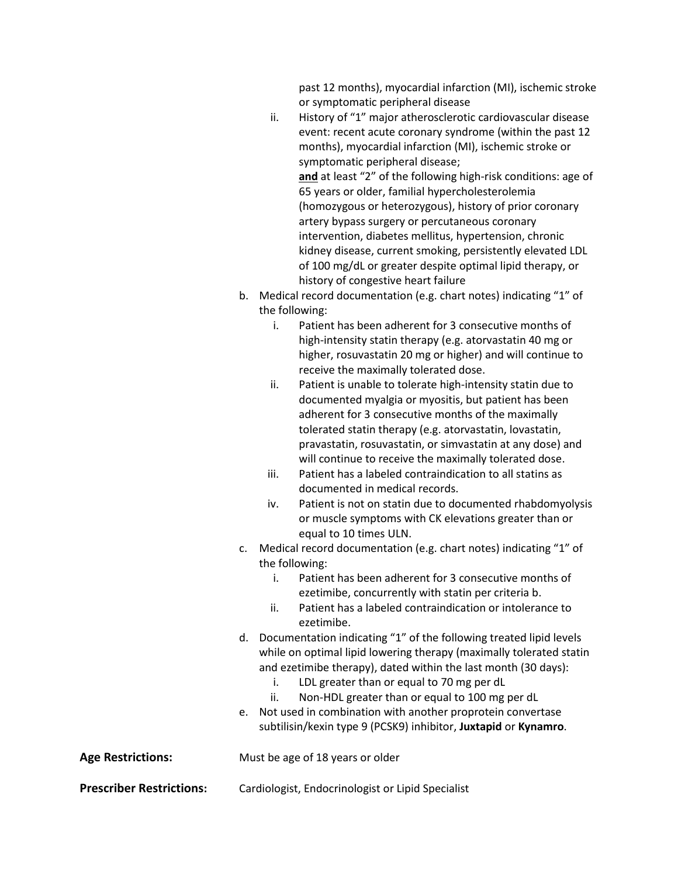past 12 months), myocardial infarction (MI), ischemic stroke or symptomatic peripheral disease

- ii. History of "1" major atherosclerotic cardiovascular disease event: recent acute coronary syndrome (within the past 12 months), myocardial infarction (MI), ischemic stroke or symptomatic peripheral disease; **and** at least "2" of the following high-risk conditions: age of 65 years or older, familial hypercholesterolemia (homozygous or heterozygous), history of prior coronary artery bypass surgery or percutaneous coronary intervention, diabetes mellitus, hypertension, chronic kidney disease, current smoking, persistently elevated LDL of 100 mg/dL or greater despite optimal lipid therapy, or history of congestive heart failure
- b. Medical record documentation (e.g. chart notes) indicating "1" of the following:
	- i. Patient has been adherent for 3 consecutive months of high-intensity statin therapy (e.g. atorvastatin 40 mg or higher, rosuvastatin 20 mg or higher) and will continue to receive the maximally tolerated dose.
	- ii. Patient is unable to tolerate high-intensity statin due to documented myalgia or myositis, but patient has been adherent for 3 consecutive months of the maximally tolerated statin therapy (e.g. atorvastatin, lovastatin, pravastatin, rosuvastatin, or simvastatin at any dose) and will continue to receive the maximally tolerated dose.
	- iii. Patient has a labeled contraindication to all statins as documented in medical records.
	- iv. Patient is not on statin due to documented rhabdomyolysis or muscle symptoms with CK elevations greater than or equal to 10 times ULN.
- c. Medical record documentation (e.g. chart notes) indicating "1" of the following:
	- i. Patient has been adherent for 3 consecutive months of ezetimibe, concurrently with statin per criteria b.
	- ii. Patient has a labeled contraindication or intolerance to ezetimibe.
- d. Documentation indicating "1" of the following treated lipid levels while on optimal lipid lowering therapy (maximally tolerated statin and ezetimibe therapy), dated within the last month (30 days):
	- i. LDL greater than or equal to 70 mg per dL
	- ii. Non-HDL greater than or equal to 100 mg per dL
- e. Not used in combination with another proprotein convertase subtilisin/kexin type 9 (PCSK9) inhibitor, **Juxtapid** or **Kynamro**.

**Age Restrictions:** Must be age of 18 years or older

**Prescriber Restrictions:** Cardiologist, Endocrinologist or Lipid Specialist